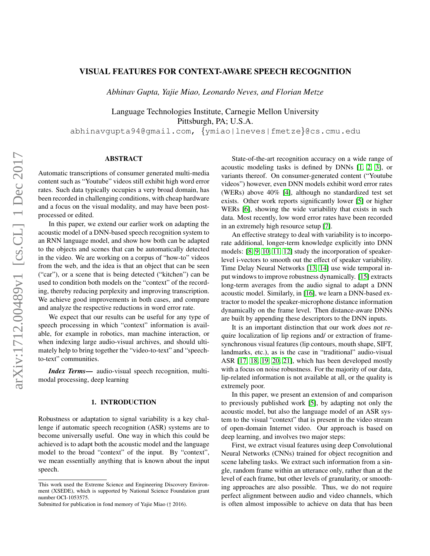# VISUAL FEATURES FOR CONTEXT-AWARE SPEECH RECOGNITION

*Abhinav Gupta, Yajie Miao, Leonardo Neves, and Florian Metze*

Language Technologies Institute, Carnegie Mellon University Pittsburgh, PA; U.S.A.

abhinavgupta94@gmail.com, {ymiao|lneves|fmetze}@cs.cmu.edu

# ABSTRACT

Automatic transcriptions of consumer generated multi-media content such as "Youtube" videos still exhibit high word error rates. Such data typically occupies a very broad domain, has been recorded in challenging conditions, with cheap hardware and a focus on the visual modality, and may have been postprocessed or edited.

In this paper, we extend our earlier work on adapting the acoustic model of a DNN-based speech recognition system to an RNN language model, and show how both can be adapted to the objects and scenes that can be automatically detected in the video. We are working on a corpus of "how-to" videos from the web, and the idea is that an object that can be seen ("car"), or a scene that is being detected ("kitchen") can be used to condition both models on the "context" of the recording, thereby reducing perplexity and improving transcription. We achieve good improvements in both cases, and compare and analyze the respective reductions in word error rate.

We expect that our results can be useful for any type of speech processing in which "context" information is available, for example in robotics, man machine interaction, or when indexing large audio-visual archives, and should ultimately help to bring together the "video-to-text" and "speechto-text" communities.

*Index Terms*— audio-visual speech recognition, multimodal processing, deep learning

### 1. INTRODUCTION

Robustness or adaptation to signal variability is a key challenge if automatic speech recognition (ASR) systems are to become universally useful. One way in which this could be achieved is to adapt both the acoustic model and the language model to the broad "context" of the input. By "context", we mean essentially anything that is known about the input speech.

State-of-the-art recognition accuracy on a wide range of acoustic modeling tasks is defined by DNNs [\[1,](#page-3-0) [2,](#page-3-1) [3\]](#page-4-0), or variants thereof. On consumer-generated content ("Youtube videos") however, even DNN models exhibit word error rates (WERs) above 40% [\[4\]](#page-4-1), although no standardized test set exists. Other work reports significantly lower [\[5\]](#page-4-2) or higher WERs [\[6\]](#page-4-3), showing the wide variability that exists in such data. Most recently, low word error rates have been recorded in an extremely high resource setup [\[7\]](#page-4-4).

An effective strategy to deal with variability is to incorporate additional, longer-term knowledge explicitly into DNN models: [\[8,](#page-4-5) [9,](#page-4-6) [10,](#page-4-7) [11,](#page-4-8) [12\]](#page-4-9) study the incorporation of speakerlevel i-vectors to smooth out the effect of speaker variability. Time Delay Neural Networks [\[13,](#page-4-10) [14\]](#page-4-11) use wide temporal input windows to improve robustness dynamically. [\[15\]](#page-4-12) extracts long-term averages from the audio signal to adapt a DNN acoustic model. Similarly, in [\[16\]](#page-4-13), we learn a DNN-based extractor to model the speaker-microphone distance information dynamically on the frame level. Then distance-aware DNNs are built by appending these descriptors to the DNN inputs.

It is an important distinction that our work does not require localization of lip regions and/ or extraction of framesynchronous visual features (lip contours, mouth shape, SIFT, landmarks, etc.), as is the case in "traditional" audio-visual ASR [\[17,](#page-4-14) [18,](#page-4-15) [19,](#page-4-16) [20,](#page-4-17) [21\]](#page-4-18), which has been developed mostly with a focus on noise robustness. For the majority of our data, lip-related information is not available at all, or the quality is extremely poor.

In this paper, we present an extension of and comparison to previously published work [\[5\]](#page-4-2), by adapting not only the acoustic model, but also the language model of an ASR system to the visual "context" that is present in the video stream of open-domain Internet video. Our approach is based on deep learning, and involves two major steps:

First, we extract visual features using deep Convolutional Neural Networks (CNNs) trained for object recognition and scene labeling tasks. We extract such information from a single, random frame within an utterance only, rather than at the level of each frame, but other levels of granularity, or smoothing approaches are also possible. Thus, we do not require perfect alignment between audio and video channels, which is often almost impossible to achieve on data that has been

This work used the Extreme Science and Engineering Discovery Environment (XSEDE), which is supported by National Science Foundation grant number OCI-1053575.

Submitted for publication in fond memory of Yajie Miao († 2016).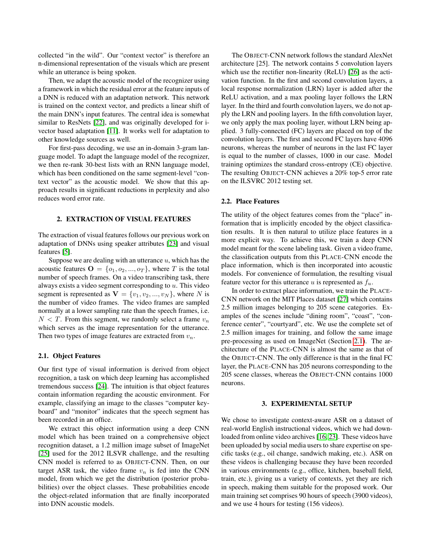collected "in the wild". Our "context vector" is therefore an n-dimensional representation of the visuals which are present while an utterance is being spoken.

Then, we adapt the acoustic model of the recognizer using a framework in which the residual error at the feature inputs of a DNN is reduced with an adaptation network. This network is trained on the context vector, and predicts a linear shift of the main DNN's input features. The central idea is somewhat similar to ResNets [\[22\]](#page-4-19), and was originally developed for ivector based adaptation [\[11\]](#page-4-8). It works well for adaptation to other knowledge sources as well.

For first-pass decoding, we use an in-domain 3-gram language model. To adapt the language model of the recognizer, we then re-rank 30-best lists with an RNN language model, which has been conditioned on the same segment-level "context vector" as the acoustic model. We show that this approach results in significant reductions in perplexity and also reduces word error rate.

### 2. EXTRACTION OF VISUAL FEATURES

The extraction of visual features follows our previous work on adaptation of DNNs using speaker attributes [\[23\]](#page-4-20) and visual features [\[5\]](#page-4-2).

Suppose we are dealing with an utterance  $u$ , which has the acoustic features  $\mathbf{O} = \{o_1, o_2, ..., o_T\}$ , where T is the total number of speech frames. On a video transcribing task, there always exists a video segment corresponding to  $u$ . This video segment is represented as  $V = \{v_1, v_2, ..., v_N\}$ , where N is the number of video frames. The video frames are sampled normally at a lower sampling rate than the speech frames, i.e.  $N < T$ . From this segment, we randomly select a frame  $v_n$ which serves as the image representation for the utterance. Then two types of image features are extracted from  $v_n$ .

### <span id="page-1-0"></span>2.1. Object Features

Our first type of visual information is derived from object recognition, a task on which deep learning has accomplished tremendous success [\[24\]](#page-4-21). The intuition is that object features contain information regarding the acoustic environment. For example, classifying an image to the classes "computer keyboard" and "monitor" indicates that the speech segment has been recorded in an office.

We extract this object information using a deep CNN model which has been trained on a comprehensive object recognition dataset, a 1.2 million image subset of ImageNet [\[25\]](#page-4-22) used for the 2012 ILSVR challenge, and the resulting CNN model is referred to as OBJECT-CNN. Then, on our target ASR task, the video frame  $v_n$  is fed into the CNN model, from which we get the distribution (posterior probabilities) over the object classes. These probabilities encode the object-related information that are finally incorporated into DNN acoustic models.

The OBJECT-CNN network follows the standard AlexNet architecture [25]. The network contains 5 convolution layers which use the rectifier non-linearity (ReLU) [\[26\]](#page-4-23) as the activation function. In the first and second convolution layers, a local response normalization (LRN) layer is added after the ReLU activation, and a max pooling layer follows the LRN layer. In the third and fourth convolution layers, we do not apply the LRN and pooling layers. In the fifth convolution layer, we only apply the max pooling layer, without LRN being applied. 3 fully-connected (FC) layers are placed on top of the convolution layers. The first and second FC layers have 4096 neurons, whereas the number of neurons in the last FC layer is equal to the number of classes, 1000 in our case. Model training optimizes the standard cross-entropy (CE) objective. The resulting OBJECT-CNN achieves a 20% top-5 error rate on the ILSVRC 2012 testing set.

### 2.2. Place Features

The utility of the object features comes from the "place" information that is implicitly encoded by the object classification results. It is then natural to utilize place features in a more explicit way. To achieve this, we train a deep CNN model meant for the scene labeling task. Given a video frame, the classification outputs from this PLACE-CNN encode the place information, which is then incorporated into acoustic models. For convenience of formulation, the resulting visual feature vector for this utterance u is represented as  $f_u$ .

In order to extract place information, we train the PLACE-CNN network on the MIT Places dataset [\[27\]](#page-4-24) which contains 2.5 million images belonging to 205 scene categories. Examples of the scenes include "dining room", "coast", "conference center", "courtyard", etc. We use the complete set of 2.5 million images for training, and follow the same image pre-processing as used on ImageNet (Section [2.1\)](#page-1-0). The architecture of the PLACE-CNN is almost the same as that of the OBJECT-CNN. The only difference is that in the final FC layer, the PLACE-CNN has 205 neurons corresponding to the 205 scene classes, whereas the OBJECT-CNN contains 1000 neurons.

#### 3. EXPERIMENTAL SETUP

We chose to investigate context-aware ASR on a dataset of real-world English instructional videos, which we had downloaded from online video archives [\[16,](#page-4-13) [23\]](#page-4-20). These videos have been uploaded by social media users to share expertise on specific tasks (e.g., oil change, sandwich making, etc.). ASR on these videos is challenging because they have been recorded in various environments (e.g., office, kitchen, baseball field, train, etc.), giving us a variety of contexts, yet they are rich in speech, making them suitable for the proposed work. Our main training set comprises 90 hours of speech (3900 videos), and we use 4 hours for testing (156 videos).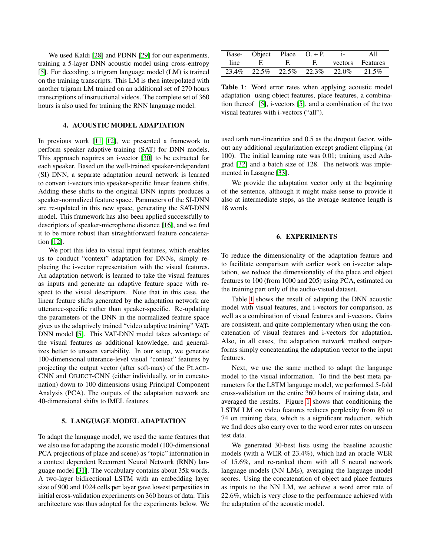We used Kaldi [\[28\]](#page-4-25) and PDNN [\[29\]](#page-4-26) for our experiments, training a 5-layer DNN acoustic model using cross-entropy [\[5\]](#page-4-2). For decoding, a trigram language model (LM) is trained on the training transcripts. This LM is then interpolated with another trigram LM trained on an additional set of 270 hours transcriptions of instructional videos. The complete set of 360 hours is also used for training the RNN language model.

# 4. ACOUSTIC MODEL ADAPTATION

In previous work [\[11,](#page-4-8) [12\]](#page-4-9), we presented a framework to perform speaker adaptive training (SAT) for DNN models. This approach requires an i-vector [\[30\]](#page-4-27) to be extracted for each speaker. Based on the well-trained speaker-independent (SI) DNN, a separate adaptation neural network is learned to convert i-vectors into speaker-specific linear feature shifts. Adding these shifts to the original DNN inputs produces a speaker-normalized feature space. Parameters of the SI-DNN are re-updated in this new space, generating the SAT-DNN model. This framework has also been applied successfully to descriptors of speaker-microphone distance [\[16\]](#page-4-13), and we find it to be more robust than straightforward feature concatenation [\[12\]](#page-4-9).

We port this idea to visual input features, which enables us to conduct "context" adaptation for DNNs, simply replacing the i-vector representation with the visual features. An adaptation network is learned to take the visual features as inputs and generate an adaptive feature space with respect to the visual descriptors. Note that in this case, the linear feature shifts generated by the adaptation network are utterance-specific rather than speaker-specific. Re-updating the parameters of the DNN in the normalized feature space gives us the adaptively trained "video adaptive training" VAT-DNN model [\[5\]](#page-4-2). This VAT-DNN model takes advantage of the visual features as additional knowledge, and generalizes better to unseen variability. In our setup, we generate 100-dimensional utterance-level visual "context" features by projecting the output vector (after soft-max) of the PLACE-CNN and OBJECT-CNN (either individually, or in concatenation) down to 100 dimensions using Principal Component Analysis (PCA). The outputs of the adaptation network are 40-dimensional shifts to lMEL features.

# 5. LANGUAGE MODEL ADAPTATION

To adapt the language model, we used the same features that we also use for adapting the acoustic model (100-dimensional PCA projections of place and scene) as "topic" information in a context dependent Recurrent Neural Network (RNN) language model [\[31\]](#page-4-28). The vocabulary contains about 35k words. A two-layer bidirectional LSTM with an embedding layer size of 900 and 1024 cells per layer gave lowest perpexities in initial cross-validation experiments on 360 hours of data. This architecture was thus adopted for the experiments below. We

<span id="page-2-0"></span>

|      | Base- Object Place $O + P$ . |      |    | $\mathbf{1}$                              | A11              |
|------|------------------------------|------|----|-------------------------------------------|------------------|
| line | $-$ F.                       | - H. | E. |                                           | vectors Features |
|      |                              |      |    | 23.4\% 22.5\% 22.5\% 22.3\% 22.0\% 21.5\% |                  |

Table 1: Word error rates when applying acoustic model adaptation using object features, place features, a combination thereof [\[5\]](#page-4-2), i-vectors [\[5\]](#page-4-2), and a combination of the two visual features with i-vectors ("all").

used tanh non-linearities and 0.5 as the dropout factor, without any additional regularization except gradient clipping (at 100). The initial learning rate was 0.01; training used Adagrad [\[32\]](#page-4-29) and a batch size of 128. The network was implemented in Lasagne [\[33\]](#page-4-30).

We provide the adaptation vector only at the beginning of the sentence, although it might make sense to provide it also at intermediate steps, as the average sentence length is 18 words.

### 6. EXPERIMENTS

To reduce the dimensionality of the adaptation feature and to facilitate comparison with earlier work on i-vector adaptation, we reduce the dimensionality of the place and object features to 100 (from 1000 and 205) using PCA, estimated on the training part only of the audio-visual dataset.

Table [1](#page-2-0) shows the result of adapting the DNN acoustic model with visual features, and i-vectors for comparison, as well as a combination of visual features and i-vectors. Gains are consistent, and quite complementary when using the concatenation of visual features and i-vectors for adaptation. Also, in all cases, the adaptation network method outperforms simply concatenating the adaptation vector to the input features.

Next, we use the same method to adapt the language model to the visual information. To find the best meta parameters for the LSTM language model, we performed 5-fold cross-validation on the entire 360 hours of training data, and averaged the results. Figure [1](#page-3-2) shows that conditioning the LSTM LM on video features reduces perplexity from 89 to 74 on training data, which is a significant reduction, which we find does also carry over to the word error rates on unseen test data.

We generated 30-best lists using the baseline acoustic models (with a WER of 23.4%), which had an oracle WER of 15.6%, and re-ranked them with all 5 neural network language models (NN LMs), averaging the language model scores. Using the concatenation of object and place features as inputs to the NN LM, we achieve a word error rate of 22.6%, which is very close to the performance achieved with the adaptation of the acoustic model.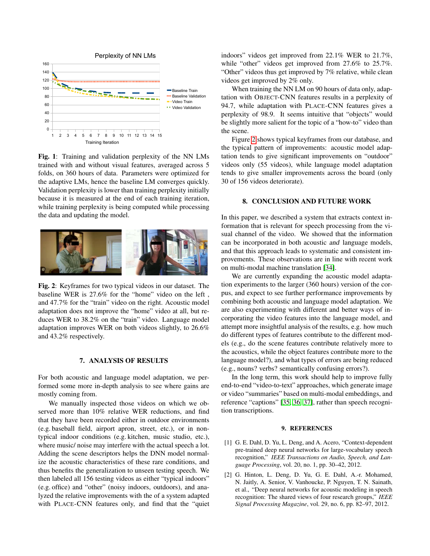<span id="page-3-2"></span>

Fig. 1: Training and validation perplexity of the NN LMs trained with and without visual features, averaged across 5 folds, on 360 hours of data. Parameters were optimized for the adaptive LMs, hence the baseline LM converges quickly. Validation perplexity is lower than training perplexity initially because it is measured at the end of each training iteration, while training perplexity is being computed while processing the data and updating the model.

<span id="page-3-3"></span>

Fig. 2: Keyframes for two typical videos in our dataset. The baseline WER is 27.6% for the "home" video on the left , and 47.7% for the "train" video on the right. Acoustic model adaptation does not improve the "home" video at all, but reduces WER to 38.2% on the "train" video. Language model adaptation improves WER on both videos slightly, to 26.6% and 43.2% respectively.

#### 7. ANALYSIS OF RESULTS

For both acoustic and language model adaptation, we performed some more in-depth analysis to see where gains are mostly coming from.

We manually inspected those videos on which we observed more than 10% relative WER reductions, and find that they have been recorded either in outdoor environments (e.g. baseball field, airport apron, street, etc.), or in nontypical indoor conditions (e.g. kitchen, music studio, etc.), where music/ noise may interfere with the actual speech a lot. Adding the scene descriptors helps the DNN model normalize the acoustic characteristics of these rare conditions, and thus benefits the generalization to unseen testing speech. We then labeled all 156 testing videos as either "typical indoors" (e.g. office) and "other" (noisy indoors, outdoors), and analyzed the relative improvements with the of a system adapted with PLACE-CNN features only, and find that the "quiet indoors" videos get improved from 22.1% WER to 21.7%, while "other" videos get improved from 27.6% to 25.7%. "Other" videos thus get improved by 7% relative, while clean videos get improved by 2% only.

When training the NN LM on 90 hours of data only, adaptation with OBJECT-CNN features results in a perplexity of 94.7, while adaptation with PLACE-CNN features gives a perplexity of 98.9. It seems intuitive that "objects" would be slightly more salient for the topic of a "how-to" video than the scene.

Figure [2](#page-3-3) shows typical keyframes from our database, and the typical pattern of improvements: acoustic model adaptation tends to give significant improvements on "outdoor" videos only (55 videos), while language model adaptation tends to give smaller improvements across the board (only 30 of 156 videos deteriorate).

### 8. CONCLUSION AND FUTURE WORK

In this paper, we described a system that extracts context information that is relevant for speech processing from the visual channel of the video. We showed that the information can be incorporated in both acoustic and language models, and that this approach leads to systematic and consistent improvements. These observations are in line with recent work on multi-modal machine translation [\[34\]](#page-4-31).

We are currently expanding the acoustic model adaptation experiments to the larger (360 hours) version of the corpus, and expect to see further performance improvements by combining both acoustic and language model adaptation. We are also experimenting with different and better ways of incorporating the video features into the language model, and attempt more insightful analysis of the results, e.g. how much do different types of features contribute to the different models (e.g., do the scene features contribute relatively more to the acoustics, while the object features contribute more to the language model?), and what types of errors are being reduced (e.g., nouns? verbs? semantically confusing errors?).

In the long term, this work should help to improve fully end-to-end "video-to-text" approaches, which generate image or video "summaries" based on multi-modal embeddings, and reference "captions" [\[35,](#page-4-32) [36,](#page-4-33) [37\]](#page-4-34), rather than speech recognition transcriptions.

### 9. REFERENCES

- <span id="page-3-0"></span>[1] G. E. Dahl, D. Yu, L. Deng, and A. Acero, "Context-dependent pre-trained deep neural networks for large-vocabulary speech recognition," *IEEE Transactions on Audio, Speech, and Language Processing*, vol. 20, no. 1, pp. 30–42, 2012.
- <span id="page-3-1"></span>[2] G. Hinton, L. Deng, D. Yu, G. E. Dahl, A.-r. Mohamed, N. Jaitly, A. Senior, V. Vanhoucke, P. Nguyen, T. N. Sainath, et al., "Deep neural networks for acoustic modeling in speech recognition: The shared views of four research groups," *IEEE Signal Processing Magazine*, vol. 29, no. 6, pp. 82–97, 2012.